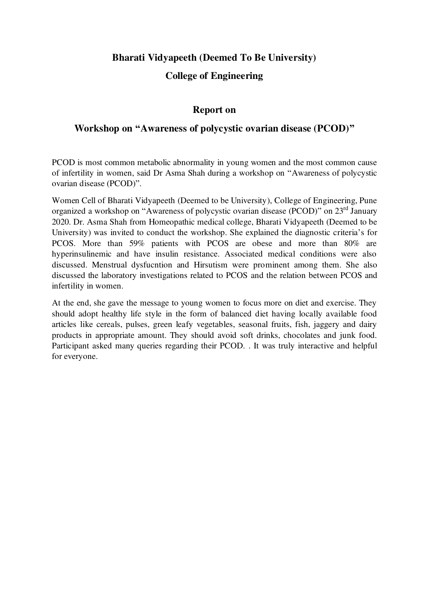## **Bharati Vidyapeeth (Deemed To Be University)**

## **College of Engineering**

## **Report on**

## **Workshop on "Awareness of polycystic ovarian disease (PCOD)"**

PCOD is most common metabolic abnormality in young women and the most common cause of infertility in women, said Dr Asma Shah during a workshop on "Awareness of polycystic ovarian disease (PCOD)".

Women Cell of Bharati Vidyapeeth (Deemed to be University), College of Engineering, Pune organized a workshop on "Awareness of polycystic ovarian disease (PCOD)" on 23rd January 2020. Dr. Asma Shah from Homeopathic medical college, Bharati Vidyapeeth (Deemed to be University) was invited to conduct the workshop. She explained the diagnostic criteria's for PCOS. More than 59% patients with PCOS are obese and more than 80% are hyperinsulinemic and have insulin resistance. Associated medical conditions were also discussed. Menstrual dysfucntion and Hirsutism were prominent among them. She also discussed the laboratory investigations related to PCOS and the relation between PCOS and infertility in women.

At the end, she gave the message to young women to focus more on diet and exercise. They should adopt healthy life style in the form of balanced diet having locally available food articles like cereals, pulses, green leafy vegetables, seasonal fruits, fish, jaggery and dairy products in appropriate amount. They should avoid soft drinks, chocolates and junk food. Participant asked many queries regarding their PCOD. . It was truly interactive and helpful for everyone.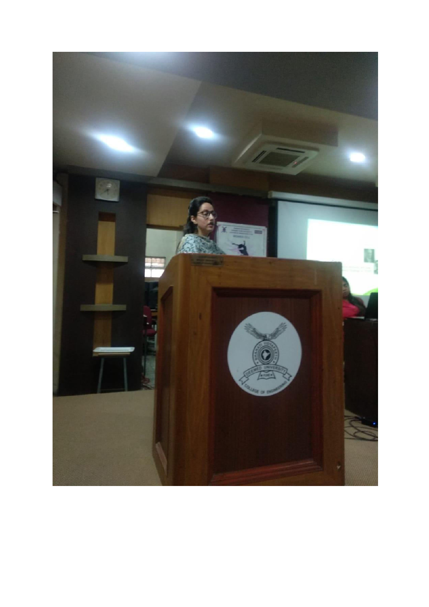